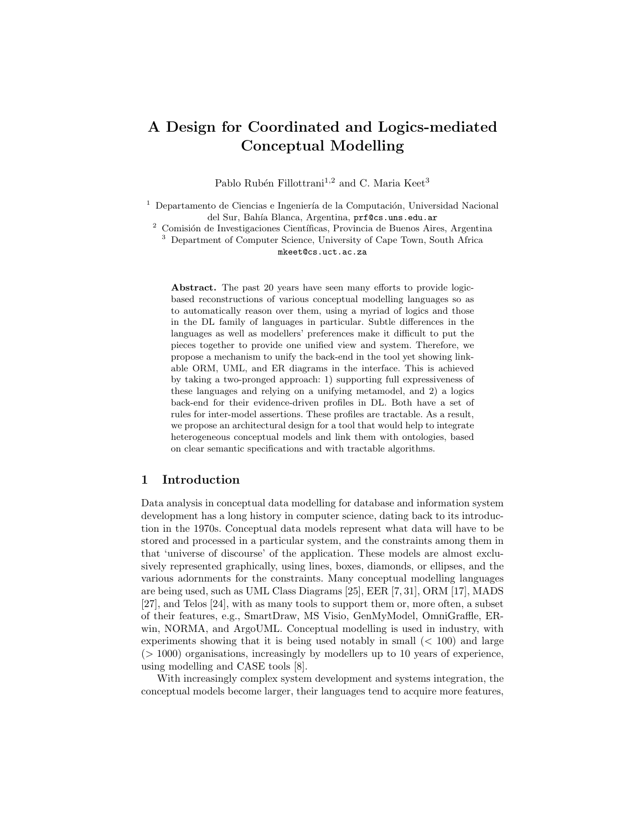## A Design for Coordinated and Logics-mediated Conceptual Modelling

Pablo Rubén Fillottrani<sup>1,2</sup> and C. Maria Keet<sup>3</sup>

 $^{\rm 1}$  Departamento de Ciencias e Ingeniería de la Computación, Universidad Nacional del Sur, Bahía Blanca, Argentina, prf@cs.uns.edu.ar

<sup>2</sup> Comisión de Investigaciones Científicas, Provincia de Buenos Aires, Argentina <sup>3</sup> Department of Computer Science, University of Cape Town, South Africa

mkeet@cs.uct.ac.za

Abstract. The past 20 years have seen many efforts to provide logicbased reconstructions of various conceptual modelling languages so as to automatically reason over them, using a myriad of logics and those in the DL family of languages in particular. Subtle differences in the languages as well as modellers' preferences make it difficult to put the pieces together to provide one unified view and system. Therefore, we propose a mechanism to unify the back-end in the tool yet showing linkable ORM, UML, and ER diagrams in the interface. This is achieved by taking a two-pronged approach: 1) supporting full expressiveness of these languages and relying on a unifying metamodel, and 2) a logics back-end for their evidence-driven profiles in DL. Both have a set of rules for inter-model assertions. These profiles are tractable. As a result, we propose an architectural design for a tool that would help to integrate heterogeneous conceptual models and link them with ontologies, based on clear semantic specifications and with tractable algorithms.

## 1 Introduction

Data analysis in conceptual data modelling for database and information system development has a long history in computer science, dating back to its introduction in the 1970s. Conceptual data models represent what data will have to be stored and processed in a particular system, and the constraints among them in that 'universe of discourse' of the application. These models are almost exclusively represented graphically, using lines, boxes, diamonds, or ellipses, and the various adornments for the constraints. Many conceptual modelling languages are being used, such as UML Class Diagrams [25], EER [7, 31], ORM [17], MADS [27], and Telos [24], with as many tools to support them or, more often, a subset of their features, e.g., SmartDraw, MS Visio, GenMyModel, OmniGraffle, ERwin, NORMA, and ArgoUML. Conceptual modelling is used in industry, with experiments showing that it is being used notably in small  $\ll 100$  and large  $(> 1000)$  organisations, increasingly by modellers up to 10 years of experience, using modelling and CASE tools [8].

With increasingly complex system development and systems integration, the conceptual models become larger, their languages tend to acquire more features,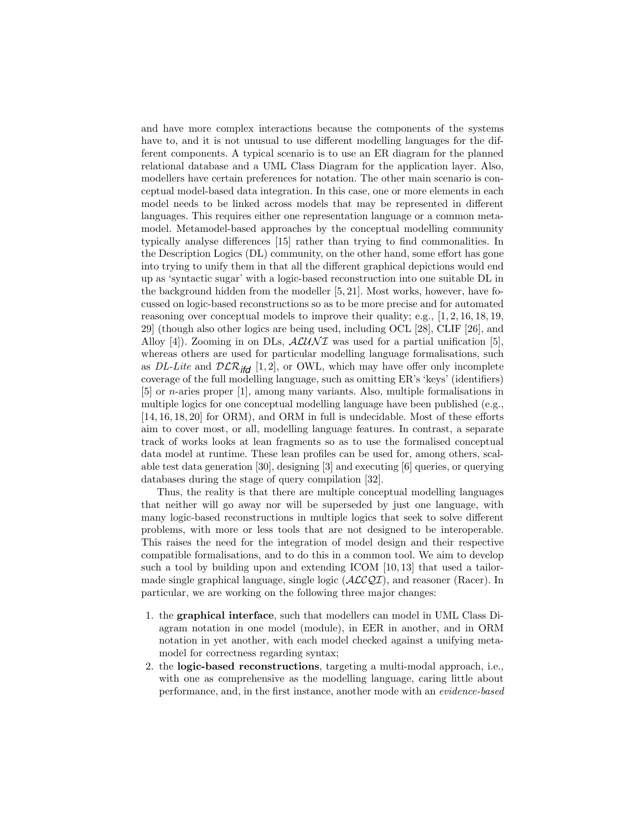and have more complex interactions because the components of the systems have to, and it is not unusual to use different modelling languages for the different components. A typical scenario is to use an ER diagram for the planned relational database and a UML Class Diagram for the application layer. Also, modellers have certain preferences for notation. The other main scenario is conceptual model-based data integration. In this case, one or more elements in each model needs to be linked across models that may be represented in different languages. This requires either one representation language or a common metamodel. Metamodel-based approaches by the conceptual modelling community typically analyse differences [15] rather than trying to find commonalities. In the Description Logics (DL) community, on the other hand, some effort has gone into trying to unify them in that all the different graphical depictions would end up as 'syntactic sugar' with a logic-based reconstruction into one suitable DL in the background hidden from the modeller [5, 21]. Most works, however, have focussed on logic-based reconstructions so as to be more precise and for automated reasoning over conceptual models to improve their quality; e.g., [1, 2, 16, 18, 19, 29] (though also other logics are being used, including OCL [28], CLIF [26], and Alloy [4]). Zooming in on DLs,  $ALUNI$  was used for a partial unification [5], whereas others are used for particular modelling language formalisations, such as DL-Lite and  $D\mathcal{LR}_{\text{ifd}}$  [1, 2], or OWL, which may have offer only incomplete coverage of the full modelling language, such as omitting ER's 'keys' (identifiers) [5] or n-aries proper [1], among many variants. Also, multiple formalisations in multiple logics for one conceptual modelling language have been published (e.g., [14, 16, 18, 20] for ORM), and ORM in full is undecidable. Most of these efforts aim to cover most, or all, modelling language features. In contrast, a separate track of works looks at lean fragments so as to use the formalised conceptual data model at runtime. These lean profiles can be used for, among others, scalable test data generation [30], designing [3] and executing [6] queries, or querying databases during the stage of query compilation [32].

Thus, the reality is that there are multiple conceptual modelling languages that neither will go away nor will be superseded by just one language, with many logic-based reconstructions in multiple logics that seek to solve different problems, with more or less tools that are not designed to be interoperable. This raises the need for the integration of model design and their respective compatible formalisations, and to do this in a common tool. We aim to develop such a tool by building upon and extending ICOM [10, 13] that used a tailormade single graphical language, single logic  $(\text{ACCQI})$ , and reasoner (Racer). In particular, we are working on the following three major changes:

- 1. the graphical interface, such that modellers can model in UML Class Diagram notation in one model (module), in EER in another, and in ORM notation in yet another, with each model checked against a unifying metamodel for correctness regarding syntax;
- 2. the logic-based reconstructions, targeting a multi-modal approach, i.e., with one as comprehensive as the modelling language, caring little about performance, and, in the first instance, another mode with an evidence-based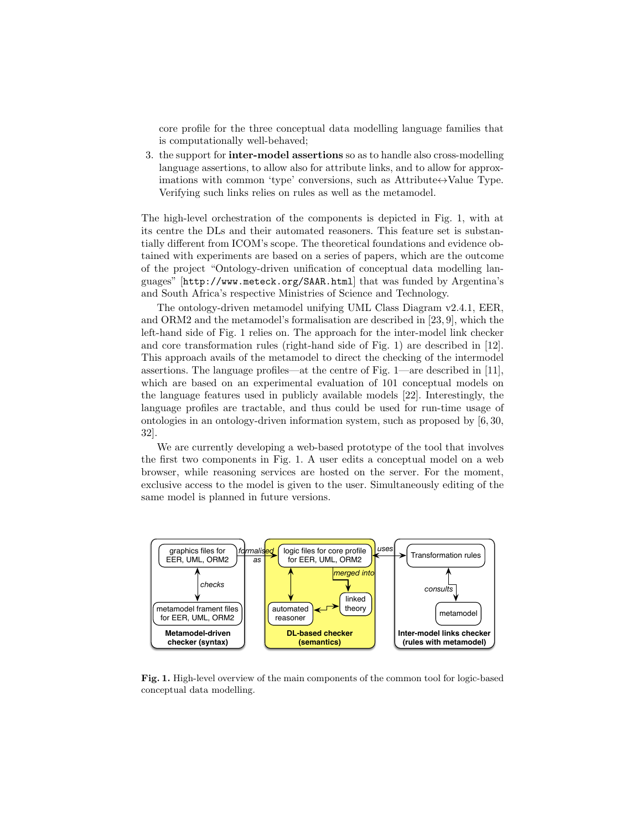core profile for the three conceptual data modelling language families that is computationally well-behaved;

3. the support for inter-model assertions so as to handle also cross-modelling language assertions, to allow also for attribute links, and to allow for approximations with common 'type' conversions, such as  $\text{Attribute} \leftrightarrow \text{Value Type}$ . Verifying such links relies on rules as well as the metamodel.

The high-level orchestration of the components is depicted in Fig. 1, with at its centre the DLs and their automated reasoners. This feature set is substantially different from ICOM's scope. The theoretical foundations and evidence obtained with experiments are based on a series of papers, which are the outcome of the project "Ontology-driven unification of conceptual data modelling languages" [http://www.meteck.org/SAAR.html] that was funded by Argentina's and South Africa's respective Ministries of Science and Technology.

The ontology-driven metamodel unifying UML Class Diagram v2.4.1, EER, and ORM2 and the metamodel's formalisation are described in [23, 9], which the left-hand side of Fig. 1 relies on. The approach for the inter-model link checker and core transformation rules (right-hand side of Fig. 1) are described in [12]. This approach avails of the metamodel to direct the checking of the intermodel assertions. The language profiles—at the centre of Fig. 1—are described in [11], which are based on an experimental evaluation of 101 conceptual models on the language features used in publicly available models [22]. Interestingly, the language profiles are tractable, and thus could be used for run-time usage of ontologies in an ontology-driven information system, such as proposed by [6, 30, 32].

We are currently developing a web-based prototype of the tool that involves the first two components in Fig. 1. A user edits a conceptual model on a web browser, while reasoning services are hosted on the server. For the moment, exclusive access to the model is given to the user. Simultaneously editing of the same model is planned in future versions.



Fig. 1. High-level overview of the main components of the common tool for logic-based conceptual data modelling.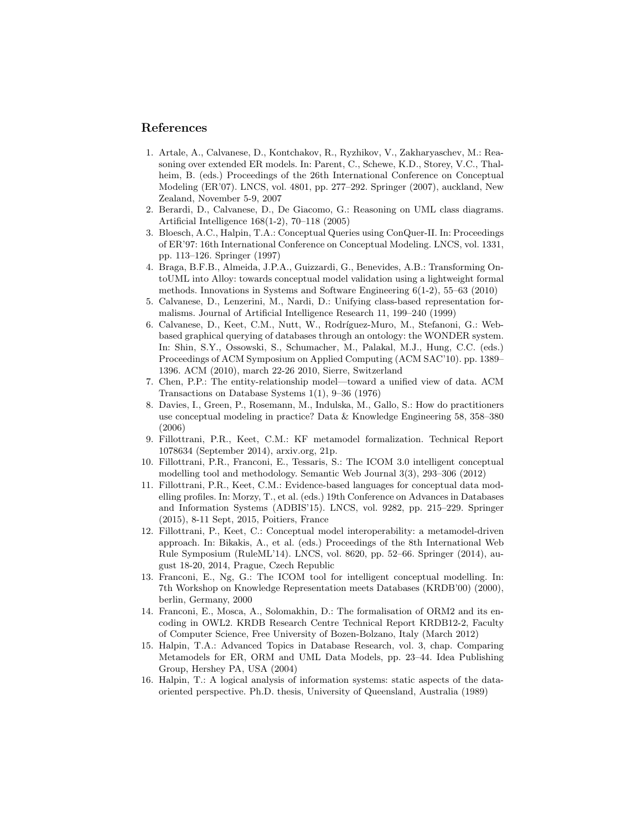## References

- 1. Artale, A., Calvanese, D., Kontchakov, R., Ryzhikov, V., Zakharyaschev, M.: Reasoning over extended ER models. In: Parent, C., Schewe, K.D., Storey, V.C., Thalheim, B. (eds.) Proceedings of the 26th International Conference on Conceptual Modeling (ER'07). LNCS, vol. 4801, pp. 277–292. Springer (2007), auckland, New Zealand, November 5-9, 2007
- 2. Berardi, D., Calvanese, D., De Giacomo, G.: Reasoning on UML class diagrams. Artificial Intelligence 168(1-2), 70–118 (2005)
- 3. Bloesch, A.C., Halpin, T.A.: Conceptual Queries using ConQuer-II. In: Proceedings of ER'97: 16th International Conference on Conceptual Modeling. LNCS, vol. 1331, pp. 113–126. Springer (1997)
- 4. Braga, B.F.B., Almeida, J.P.A., Guizzardi, G., Benevides, A.B.: Transforming OntoUML into Alloy: towards conceptual model validation using a lightweight formal methods. Innovations in Systems and Software Engineering 6(1-2), 55–63 (2010)
- 5. Calvanese, D., Lenzerini, M., Nardi, D.: Unifying class-based representation formalisms. Journal of Artificial Intelligence Research 11, 199–240 (1999)
- 6. Calvanese, D., Keet, C.M., Nutt, W., Rodríguez-Muro, M., Stefanoni, G.: Webbased graphical querying of databases through an ontology: the WONDER system. In: Shin, S.Y., Ossowski, S., Schumacher, M., Palakal, M.J., Hung, C.C. (eds.) Proceedings of ACM Symposium on Applied Computing (ACM SAC'10). pp. 1389– 1396. ACM (2010), march 22-26 2010, Sierre, Switzerland
- 7. Chen, P.P.: The entity-relationship model—toward a unified view of data. ACM Transactions on Database Systems 1(1), 9–36 (1976)
- 8. Davies, I., Green, P., Rosemann, M., Indulska, M., Gallo, S.: How do practitioners use conceptual modeling in practice? Data & Knowledge Engineering 58, 358–380 (2006)
- 9. Fillottrani, P.R., Keet, C.M.: KF metamodel formalization. Technical Report 1078634 (September 2014), arxiv.org, 21p.
- 10. Fillottrani, P.R., Franconi, E., Tessaris, S.: The ICOM 3.0 intelligent conceptual modelling tool and methodology. Semantic Web Journal 3(3), 293–306 (2012)
- 11. Fillottrani, P.R., Keet, C.M.: Evidence-based languages for conceptual data modelling profiles. In: Morzy, T., et al. (eds.) 19th Conference on Advances in Databases and Information Systems (ADBIS'15). LNCS, vol. 9282, pp. 215–229. Springer (2015), 8-11 Sept, 2015, Poitiers, France
- 12. Fillottrani, P., Keet, C.: Conceptual model interoperability: a metamodel-driven approach. In: Bikakis, A., et al. (eds.) Proceedings of the 8th International Web Rule Symposium (RuleML'14). LNCS, vol. 8620, pp. 52–66. Springer (2014), august 18-20, 2014, Prague, Czech Republic
- 13. Franconi, E., Ng, G.: The ICOM tool for intelligent conceptual modelling. In: 7th Workshop on Knowledge Representation meets Databases (KRDB'00) (2000), berlin, Germany, 2000
- 14. Franconi, E., Mosca, A., Solomakhin, D.: The formalisation of ORM2 and its encoding in OWL2. KRDB Research Centre Technical Report KRDB12-2, Faculty of Computer Science, Free University of Bozen-Bolzano, Italy (March 2012)
- 15. Halpin, T.A.: Advanced Topics in Database Research, vol. 3, chap. Comparing Metamodels for ER, ORM and UML Data Models, pp. 23–44. Idea Publishing Group, Hershey PA, USA (2004)
- 16. Halpin, T.: A logical analysis of information systems: static aspects of the dataoriented perspective. Ph.D. thesis, University of Queensland, Australia (1989)